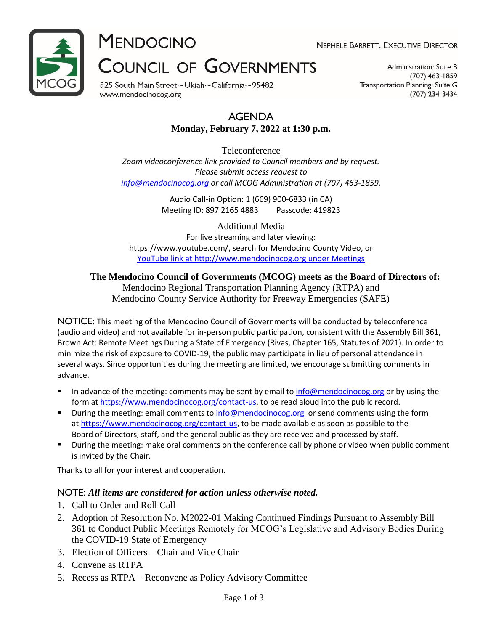

**MENDOCINO** 

NEPHELE BARRETT, EXECUTIVE DIRECTOR

# **COUNCIL OF GOVERNMENTS**

525 South Main Street~Ukiah~California~95482 www.mendocinocog.org

Administration: Suite B  $(707)$  463-1859 Transportation Planning: Suite G (707) 234-3434

# AGENDA

# **Monday, February 7, 2022 at 1:30 p.m.**

Teleconference *Zoom videoconference link provided to Council members and by request. Please submit access request to [info@mendocinocog.org](mailto:info@mendocinocog.org) or call MCOG Administration at (707) 463-1859.*

> Audio Call-in Option: 1 (669) 900-6833 (in CA) Meeting ID: 897 2165 4883 Passcode: 419823

> > Additional Media

For live streaming and later viewing: [https://www.youtube.com/,](https://www.youtube.com/) search for Mendocino County Video, or [YouTube link at http://www.mendocinocog.org under Meetings](https://www.mendocinocog.org/meetings)

**The Mendocino Council of Governments (MCOG) meets as the Board of Directors of:**

Mendocino Regional Transportation Planning Agency (RTPA) and Mendocino County Service Authority for Freeway Emergencies (SAFE)

NOTICE: This meeting of the Mendocino Council of Governments will be conducted by teleconference (audio and video) and not available for in-person public participation, consistent with the Assembly Bill 361, Brown Act: Remote Meetings During a State of Emergency (Rivas, Chapter 165, Statutes of 2021). In order to minimize the risk of exposure to COVID-19, the public may participate in lieu of personal attendance in several ways. Since opportunities during the meeting are limited, we encourage submitting comments in advance.

- In advance of the meeting: comments may be sent by email to [info@mendocinocog.org](mailto:info@mendocinocog.org) or by using the form at [https://www.mendocinocog.org/contact-us,](https://www.mendocinocog.org/contact-us) to be read aloud into the public record.
- During the meeting: email comments to [info@mendocinocog.org](mailto:info@mendocinocog.org) or send comments using the form at [https://www.mendocinocog.org/contact-us,](https://www.mendocinocog.org/contact-us) to be made available as soon as possible to the Board of Directors, staff, and the general public as they are received and processed by staff.
- During the meeting: make oral comments on the conference call by phone or video when public comment is invited by the Chair.

Thanks to all for your interest and cooperation.

# NOTE: *All items are considered for action unless otherwise noted.*

- 1. Call to Order and Roll Call
- 2. Adoption of Resolution No. M2022-01 Making Continued Findings Pursuant to Assembly Bill 361 to Conduct Public Meetings Remotely for MCOG's Legislative and Advisory Bodies During the COVID-19 State of Emergency
- 3. Election of Officers Chair and Vice Chair
- 4. Convene as RTPA
- 5. Recess as RTPA Reconvene as Policy Advisory Committee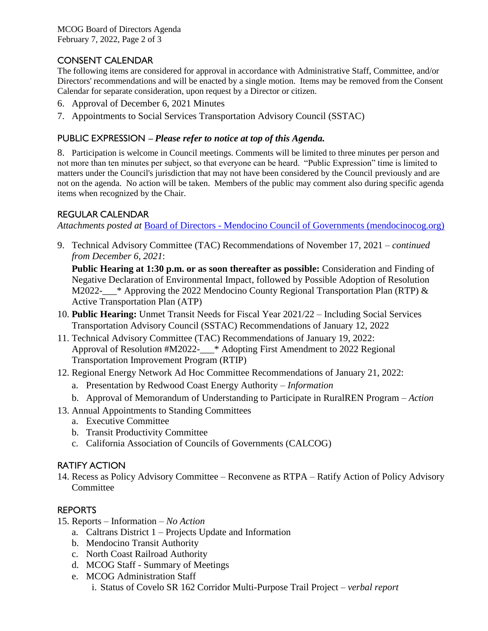MCOG Board of Directors Agenda February 7, 2022, Page 2 of 3

# CONSENT CALENDAR

The following items are considered for approval in accordance with Administrative Staff, Committee, and/or Directors' recommendations and will be enacted by a single motion. Items may be removed from the Consent Calendar for separate consideration, upon request by a Director or citizen.

- 6. Approval of December 6, 2021 Minutes
- 7. Appointments to Social Services Transportation Advisory Council (SSTAC)

# PUBLIC EXPRESSION – *Please refer to notice at top of this Agenda.*

8. Participation is welcome in Council meetings. Comments will be limited to three minutes per person and not more than ten minutes per subject, so that everyone can be heard. "Public Expression" time is limited to matters under the Council's jurisdiction that may not have been considered by the Council previously and are not on the agenda. No action will be taken. Members of the public may comment also during specific agenda items when recognized by the Chair.

# REGULAR CALENDAR

*Attachments posted at* Board of Directors - [Mendocino Council of Governments \(mendocinocog.org\)](https://www.mendocinocog.org/board-of-directors)

9. Technical Advisory Committee (TAC) Recommendations of November 17, 2021 *– continued from December 6, 2021*:

**Public Hearing at 1:30 p.m. or as soon thereafter as possible:** Consideration and Finding of Negative Declaration of Environmental Impact, followed by Possible Adoption of Resolution M2022-\_\_\_\* Approving the 2022 Mendocino County Regional Transportation Plan (RTP) & Active Transportation Plan (ATP)

- 10. **Public Hearing:** Unmet Transit Needs for Fiscal Year 2021/22 Including Social Services Transportation Advisory Council (SSTAC) Recommendations of January 12, 2022
- 11. Technical Advisory Committee (TAC) Recommendations of January 19, 2022: Approval of Resolution #M2022-\_\_\_\* Adopting First Amendment to 2022 Regional Transportation Improvement Program (RTIP)
- 12. Regional Energy Network Ad Hoc Committee Recommendations of January 21, 2022:
	- a. Presentation by Redwood Coast Energy Authority *Information*
	- b. Approval of Memorandum of Understanding to Participate in RuralREN Program *Action*
- 13. Annual Appointments to Standing Committees
	- a. Executive Committee
	- b. Transit Productivity Committee
	- c. California Association of Councils of Governments (CALCOG)

#### RATIFY ACTION

14. Recess as Policy Advisory Committee – Reconvene as RTPA – Ratify Action of Policy Advisory **Committee** 

# REPORTS

- 15. Reports Information *No Action*
	- a. Caltrans District 1 Projects Update and Information
	- b. Mendocino Transit Authority
	- c. North Coast Railroad Authority
	- d. MCOG Staff Summary of Meetings
	- e. MCOG Administration Staff
		- i. Status of Covelo SR 162 Corridor Multi-Purpose Trail Project *verbal report*